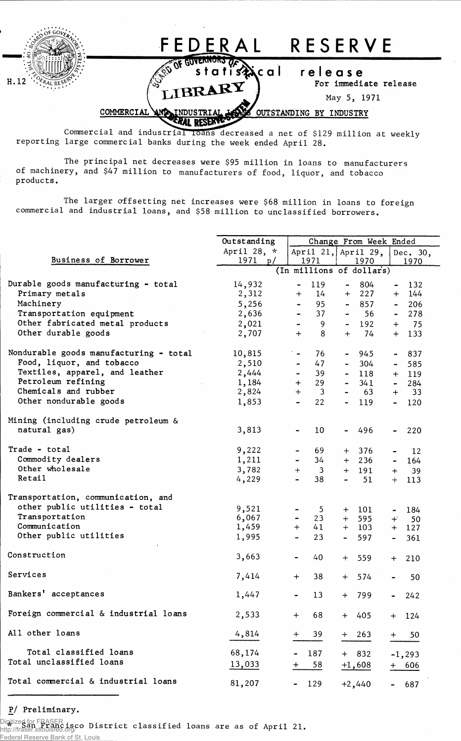

Commercial and industrial loans decreased a net of \$129 million at weekly reporting large commercial banks during the week ended April 28.

The principal net decreases were \$95 million in loans to manufacturers of machinery, and \$47 million to manufacturers of food, liquor, and tobacco products.

The larger offsetting net increases were \$68 million in loans to foreign commercial and industrial loans, and \$58 million to unclassified borrowers.

|                                        | Outstanding              | Change From Week Ended             |                                    |                       |  |  |  |  |  |
|----------------------------------------|--------------------------|------------------------------------|------------------------------------|-----------------------|--|--|--|--|--|
|                                        | April 28, *              |                                    | April 21, April 29,                | Dec. 30,              |  |  |  |  |  |
| Business of Borrower                   | 1971<br>p/               | 1971                               | 1970                               | 1970                  |  |  |  |  |  |
|                                        | (In millions of dollars) |                                    |                                    |                       |  |  |  |  |  |
| Durable goods manufacturing - total    | 14,932                   | 119<br>-                           | 804<br>$\blacksquare$              | 132                   |  |  |  |  |  |
| Primary metals                         | 2,312                    | $+$<br>14                          | 227<br>$^{+}$                      | 144<br>$+$            |  |  |  |  |  |
| Machinery                              | 5,256                    | 95<br>$\overline{\phantom{0}}$     | 857<br>$\overline{\phantom{0}}$    | 206<br>$\blacksquare$ |  |  |  |  |  |
| Transportation equipment               | 2,636                    | 37                                 | 56                                 | 278                   |  |  |  |  |  |
| Other fabricated metal products        | 2,021                    | 9<br>-                             | 192<br>$\blacksquare$              | 75<br>$+$             |  |  |  |  |  |
| Other durable goods                    | 2,707                    | 8<br>$+$                           | 74<br>$+$                          | 133<br>$+$            |  |  |  |  |  |
|                                        |                          |                                    |                                    |                       |  |  |  |  |  |
| Nondurable goods manufacturing - total | 10,815                   | 76                                 | 945<br>$\bullet$ .                 | 837<br>$\blacksquare$ |  |  |  |  |  |
| Food, liquor, and tobacco              | 2,510                    | 47<br>$\qquad \qquad \blacksquare$ | 304<br>$\blacksquare$              | 585<br>$\blacksquare$ |  |  |  |  |  |
| Textiles, apparel, and leather         | 2,444                    | 39<br>$\overline{\phantom{0}}$     | 118<br>$\blacksquare$              | 119<br>$+$            |  |  |  |  |  |
| Petroleum refining                     | 1,184                    | 29<br>$+$                          | 341                                | 284                   |  |  |  |  |  |
| Chemicals and rubber                   | 2,824                    | $+$<br>3                           | $\qquad \qquad \blacksquare$<br>63 | 33<br>$+$             |  |  |  |  |  |
| Other nondurable goods                 | 1,853                    | 22                                 | 119<br>$\blacksquare$              | 120<br>$\blacksquare$ |  |  |  |  |  |
|                                        |                          |                                    |                                    |                       |  |  |  |  |  |
| Mining (including crude petroleum &    |                          |                                    |                                    |                       |  |  |  |  |  |
| natural gas)                           | 3,813                    | 10<br>$\blacksquare$               | 496<br>$\blacksquare$              | 220                   |  |  |  |  |  |
|                                        |                          |                                    |                                    |                       |  |  |  |  |  |
| Trade - total                          | 9,222                    | 69                                 | 376<br>$+$                         | 12                    |  |  |  |  |  |
| Commodity dealers                      | 1,211                    | 34<br>$\blacksquare$               | 236<br>$+$                         | 164<br>$\blacksquare$ |  |  |  |  |  |
| Other wholesale                        | 3,782                    | 3<br>$\pm$                         | 191<br>$+$                         | 39<br>$+$             |  |  |  |  |  |
| Retail                                 | 4,229                    | 38<br>$\qquad \qquad \blacksquare$ | 51                                 | 113<br>$+$            |  |  |  |  |  |
|                                        |                          |                                    |                                    |                       |  |  |  |  |  |
| Transportation, communication, and     |                          |                                    |                                    |                       |  |  |  |  |  |
| other public utilities - total         | 9,521                    | 5                                  | 101<br>$+$                         | 184<br>$\blacksquare$ |  |  |  |  |  |
| Transportation                         | 6,067                    | 23                                 | 595<br>$+$                         | 50<br>$+$             |  |  |  |  |  |
| Communication                          | 1,459                    | 41<br>$^{+}$                       | $+$ 103                            | $+$ 127               |  |  |  |  |  |
| Other public utilities                 | 1,995                    | 23<br>$\qquad \qquad \blacksquare$ | 597<br>$\blacksquare$              | 361<br>$\blacksquare$ |  |  |  |  |  |
|                                        |                          |                                    |                                    |                       |  |  |  |  |  |
| Construction                           | 3,663                    | 40                                 | 559<br>$+$                         | 210<br>$+$            |  |  |  |  |  |
|                                        |                          |                                    |                                    |                       |  |  |  |  |  |
| Services                               | 7,414                    | 38<br>$\ddot{}$                    | 574<br>$+$                         | 50                    |  |  |  |  |  |
|                                        |                          |                                    |                                    |                       |  |  |  |  |  |
| Bankers' acceptances                   | 1,447                    | 13<br>$\qquad \qquad \blacksquare$ | 799<br>$+$                         | 242                   |  |  |  |  |  |
|                                        |                          |                                    |                                    |                       |  |  |  |  |  |
| Foreign commercial & industrial loans  | 2,533                    | 68<br>$+$                          | $+ 405$                            | $+ 124$               |  |  |  |  |  |
|                                        |                          |                                    |                                    |                       |  |  |  |  |  |
| All other loans                        | 4,814                    | 39<br>$\div$                       | 263<br>$+$                         | 50<br>$\ddot{}$       |  |  |  |  |  |
|                                        |                          |                                    |                                    |                       |  |  |  |  |  |
| Total classified loans                 | 68,174                   | 187                                | $+ 832$                            | $-1, 293$             |  |  |  |  |  |
| Total unclassified loans               | 13,033                   | $\frac{58}{1}$<br>$\bm{+}$         | $+1,608$                           | 606<br>$+$            |  |  |  |  |  |
|                                        |                          |                                    |                                    |                       |  |  |  |  |  |
| Total commercial & industrial loans    | 81,207                   | 129                                | $+2,440$                           | 687                   |  |  |  |  |  |

## P/ Preliminary.

Digitized for FRASER<br>http://frace.com/purilization/puriction/classified loans are as of April 21. http://fraser.stlouisfed.org/ Federal Reserve Bank of St. Louis